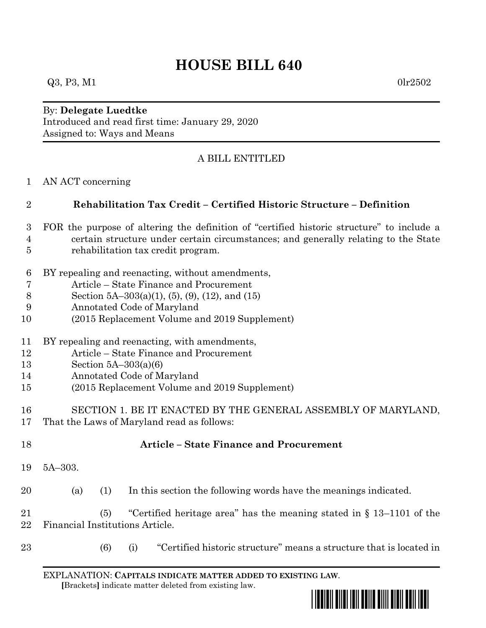## **HOUSE BILL 640**

## By: **Delegate Luedtke** Introduced and read first time: January 29, 2020 Assigned to: Ways and Means

## A BILL ENTITLED

AN ACT concerning

| Rehabilitation Tax Credit - Certified Historic Structure - Definition                       |
|---------------------------------------------------------------------------------------------|
| 3 FOR the purpose of altering the definition of "certified historic structure" to include a |

- certain structure under certain circumstances; and generally relating to the State rehabilitation tax credit program.
- BY repealing and reenacting, without amendments,
- Article State Finance and Procurement
- Section 5A–303(a)(1), (5), (9), (12), and (15)
- Annotated Code of Maryland
- (2015 Replacement Volume and 2019 Supplement)
- BY repealing and reenacting, with amendments,
- Article State Finance and Procurement
- Section 5A–303(a)(6)
- Annotated Code of Maryland
- (2015 Replacement Volume and 2019 Supplement)
- SECTION 1. BE IT ENACTED BY THE GENERAL ASSEMBLY OF MARYLAND,
- That the Laws of Maryland read as follows:
- 

## **Article – State Finance and Procurement**

5A–303.

(a) (1) In this section the following words have the meanings indicated.

 (5) "Certified heritage area" has the meaning stated in § 13–1101 of the Financial Institutions Article.

- 
- (6) (i) "Certified historic structure" means a structure that is located in

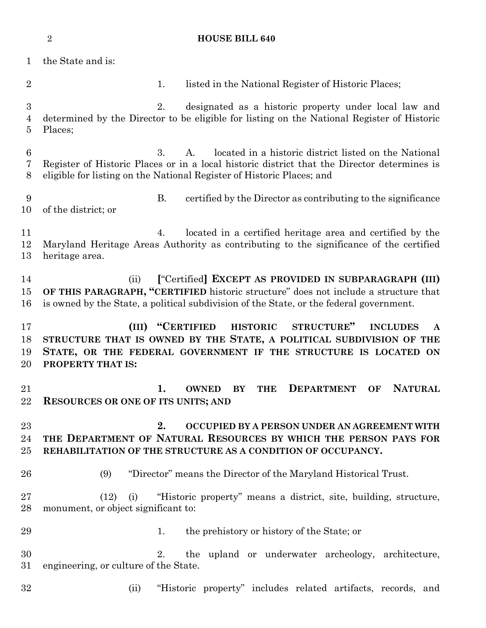**HOUSE BILL 640** the State and is: 2 1. listed in the National Register of Historic Places; 2. designated as a historic property under local law and determined by the Director to be eligible for listing on the National Register of Historic Places; 3. A. located in a historic district listed on the National Register of Historic Places or in a local historic district that the Director determines is eligible for listing on the National Register of Historic Places; and B. certified by the Director as contributing to the significance of the district; or 4. located in a certified heritage area and certified by the Maryland Heritage Areas Authority as contributing to the significance of the certified heritage area. (ii) **[**"Certified**] EXCEPT AS PROVIDED IN SUBPARAGRAPH (III) OF THIS PARAGRAPH, "CERTIFIED** historic structure" does not include a structure that is owned by the State, a political subdivision of the State, or the federal government. **(III) "CERTIFIED HISTORIC STRUCTURE" INCLUDES A STRUCTURE THAT IS OWNED BY THE STATE, A POLITICAL SUBDIVISION OF THE STATE, OR THE FEDERAL GOVERNMENT IF THE STRUCTURE IS LOCATED ON PROPERTY THAT IS: 1. OWNED BY THE DEPARTMENT OF NATURAL RESOURCES OR ONE OF ITS UNITS; AND 2. OCCUPIED BY A PERSON UNDER AN AGREEMENT WITH THE DEPARTMENT OF NATURAL RESOURCES BY WHICH THE PERSON PAYS FOR REHABILITATION OF THE STRUCTURE AS A CONDITION OF OCCUPANCY.** (9) "Director" means the Director of the Maryland Historical Trust. (12) (i) "Historic property" means a district, site, building, structure, monument, or object significant to: 29 1. the prehistory or history of the State; or 2. the upland or underwater archeology, architecture, engineering, or culture of the State. (ii) "Historic property" includes related artifacts, records, and